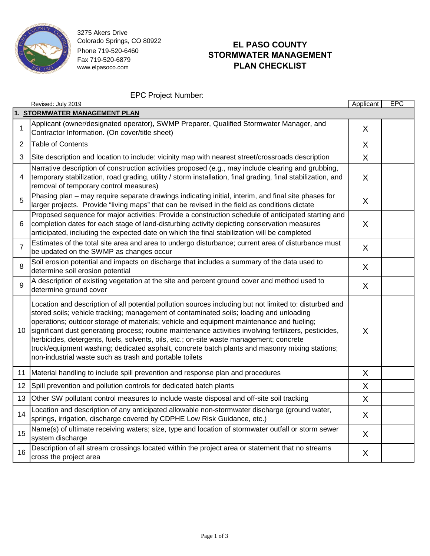

3275 Akers Drive Colorado Springs, CO 80922 Phone 719-520-6460 Fax 719-520-6879 www.elpasoco.com

## **EL PASO COUNTY STORMWATER MANAGEMENT PLAN CHECKLIST**

EPC Project Number:

|                               | Revised: July 2019                                                                                                                                                                                                                                                                                                                                                                                                                                                                                                                                                                                                                                               | Applicant | <b>EPC</b> |  |  |  |
|-------------------------------|------------------------------------------------------------------------------------------------------------------------------------------------------------------------------------------------------------------------------------------------------------------------------------------------------------------------------------------------------------------------------------------------------------------------------------------------------------------------------------------------------------------------------------------------------------------------------------------------------------------------------------------------------------------|-----------|------------|--|--|--|
| 1. STORMWATER MANAGEMENT PLAN |                                                                                                                                                                                                                                                                                                                                                                                                                                                                                                                                                                                                                                                                  |           |            |  |  |  |
| $\mathbf{1}$                  | Applicant (owner/designated operator), SWMP Preparer, Qualified Stormwater Manager, and<br>Contractor Information. (On cover/title sheet)                                                                                                                                                                                                                                                                                                                                                                                                                                                                                                                        | X         |            |  |  |  |
| $\overline{2}$                | <b>Table of Contents</b>                                                                                                                                                                                                                                                                                                                                                                                                                                                                                                                                                                                                                                         | X         |            |  |  |  |
| 3                             | Site description and location to include: vicinity map with nearest street/crossroads description                                                                                                                                                                                                                                                                                                                                                                                                                                                                                                                                                                | X         |            |  |  |  |
| 4                             | Narrative description of construction activities proposed (e.g., may include clearing and grubbing,<br>temporary stabilization, road grading, utility / storm installation, final grading, final stabilization, and<br>removal of temporary control measures)                                                                                                                                                                                                                                                                                                                                                                                                    | X         |            |  |  |  |
| 5                             | Phasing plan – may require separate drawings indicating initial, interim, and final site phases for<br>larger projects. Provide "living maps" that can be revised in the field as conditions dictate                                                                                                                                                                                                                                                                                                                                                                                                                                                             | X         |            |  |  |  |
| 6                             | Proposed sequence for major activities: Provide a construction schedule of anticipated starting and<br>completion dates for each stage of land-disturbing activity depicting conservation measures<br>anticipated, including the expected date on which the final stabilization will be completed                                                                                                                                                                                                                                                                                                                                                                | X         |            |  |  |  |
| $\overline{7}$                | Estimates of the total site area and area to undergo disturbance; current area of disturbance must<br>be updated on the SWMP as changes occur                                                                                                                                                                                                                                                                                                                                                                                                                                                                                                                    | X         |            |  |  |  |
| 8                             | Soil erosion potential and impacts on discharge that includes a summary of the data used to<br>determine soil erosion potential                                                                                                                                                                                                                                                                                                                                                                                                                                                                                                                                  | X         |            |  |  |  |
| 9                             | A description of existing vegetation at the site and percent ground cover and method used to<br>determine ground cover                                                                                                                                                                                                                                                                                                                                                                                                                                                                                                                                           | X         |            |  |  |  |
| 10                            | Location and description of all potential pollution sources including but not limited to: disturbed and<br>stored soils; vehicle tracking; management of contaminated soils; loading and unloading<br>operations; outdoor storage of materials; vehicle and equipment maintenance and fueling;<br>significant dust generating process; routine maintenance activities involving fertilizers, pesticides,<br>herbicides, detergents, fuels, solvents, oils, etc.; on-site waste management; concrete<br>truck/equipment washing; dedicated asphalt, concrete batch plants and masonry mixing stations;<br>non-industrial waste such as trash and portable toilets | X         |            |  |  |  |
| 11                            | Material handling to include spill prevention and response plan and procedures                                                                                                                                                                                                                                                                                                                                                                                                                                                                                                                                                                                   | X         |            |  |  |  |
| 12 <sub>2</sub>               | Spill prevention and pollution controls for dedicated batch plants                                                                                                                                                                                                                                                                                                                                                                                                                                                                                                                                                                                               | X         |            |  |  |  |
| 13                            | Other SW pollutant control measures to include waste disposal and off-site soil tracking                                                                                                                                                                                                                                                                                                                                                                                                                                                                                                                                                                         | $\sf X$   |            |  |  |  |
| 14                            | Location and description of any anticipated allowable non-stormwater discharge (ground water,<br>springs, irrigation, discharge covered by CDPHE Low Risk Guidance, etc.)                                                                                                                                                                                                                                                                                                                                                                                                                                                                                        | X         |            |  |  |  |
| 15                            | Name(s) of ultimate receiving waters; size, type and location of stormwater outfall or storm sewer<br>system discharge                                                                                                                                                                                                                                                                                                                                                                                                                                                                                                                                           | X         |            |  |  |  |
| 16                            | Description of all stream crossings located within the project area or statement that no streams<br>cross the project area                                                                                                                                                                                                                                                                                                                                                                                                                                                                                                                                       | X         |            |  |  |  |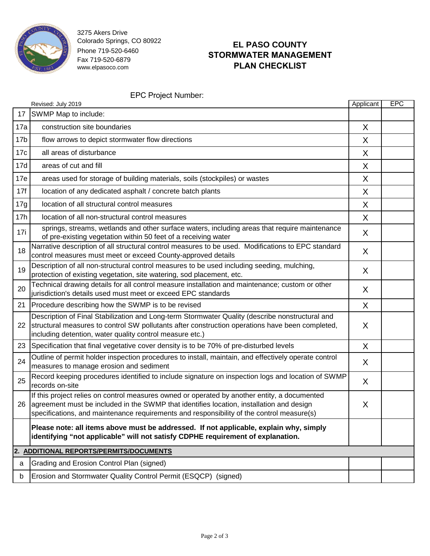

3275 Akers Drive Colorado Springs, CO 80922 Phone 719-520-6460 Fax 719-520-6879 www.elpasoco.com

## **EL PASO COUNTY STORMWATER MANAGEMENT PLAN CHECKLIST**

EPC Project Number:

|                                         | Revised: July 2019                                                                                                                                                                                                                                                                    | Applicant | EPC |  |  |
|-----------------------------------------|---------------------------------------------------------------------------------------------------------------------------------------------------------------------------------------------------------------------------------------------------------------------------------------|-----------|-----|--|--|
| 17                                      | SWMP Map to include:                                                                                                                                                                                                                                                                  |           |     |  |  |
| 17a                                     | construction site boundaries                                                                                                                                                                                                                                                          | X         |     |  |  |
| 17 <sub>b</sub>                         | flow arrows to depict stormwater flow directions                                                                                                                                                                                                                                      | X         |     |  |  |
| 17c                                     | all areas of disturbance                                                                                                                                                                                                                                                              | X         |     |  |  |
| 17d                                     | areas of cut and fill                                                                                                                                                                                                                                                                 | X         |     |  |  |
| 17e                                     | areas used for storage of building materials, soils (stockpiles) or wastes                                                                                                                                                                                                            | X         |     |  |  |
| 17f                                     | location of any dedicated asphalt / concrete batch plants                                                                                                                                                                                                                             | X         |     |  |  |
| 17g                                     | location of all structural control measures                                                                                                                                                                                                                                           | X         |     |  |  |
| 17h                                     | location of all non-structural control measures                                                                                                                                                                                                                                       | X         |     |  |  |
| 17i                                     | springs, streams, wetlands and other surface waters, including areas that require maintenance<br>of pre-existing vegetation within 50 feet of a receiving water                                                                                                                       | X         |     |  |  |
| 18                                      | Narrative description of all structural control measures to be used. Modifications to EPC standard<br>control measures must meet or exceed County-approved details                                                                                                                    | X         |     |  |  |
| 19                                      | Description of all non-structural control measures to be used including seeding, mulching,<br>protection of existing vegetation, site watering, sod placement, etc.                                                                                                                   | X         |     |  |  |
| 20                                      | Technical drawing details for all control measure installation and maintenance; custom or other<br>jurisdiction's details used must meet or exceed EPC standards                                                                                                                      | X         |     |  |  |
|                                         | 21 Procedure describing how the SWMP is to be revised                                                                                                                                                                                                                                 | X         |     |  |  |
| 22                                      | Description of Final Stabilization and Long-term Stormwater Quality (describe nonstructural and<br>structural measures to control SW pollutants after construction operations have been completed,<br>including detention, water quality control measure etc.)                        | X         |     |  |  |
|                                         | 23 Specification that final vegetative cover density is to be 70% of pre-disturbed levels                                                                                                                                                                                             | X         |     |  |  |
| 24                                      | Outline of permit holder inspection procedures to install, maintain, and effectively operate control<br>measures to manage erosion and sediment                                                                                                                                       | X         |     |  |  |
| 25                                      | Record keeping procedures identified to include signature on inspection logs and location of SWMP<br>records on-site                                                                                                                                                                  | X         |     |  |  |
| 26                                      | If this project relies on control measures owned or operated by another entity, a documented<br>agreement must be included in the SWMP that identifies location, installation and design<br>specifications, and maintenance requirements and responsibility of the control measure(s) | X         |     |  |  |
|                                         | Please note: all items above must be addressed. If not applicable, explain why, simply<br>identifying "not applicable" will not satisfy CDPHE requirement of explanation.                                                                                                             |           |     |  |  |
| 2. ADDITIONAL REPORTS/PERMITS/DOCUMENTS |                                                                                                                                                                                                                                                                                       |           |     |  |  |
| а                                       | Grading and Erosion Control Plan (signed)                                                                                                                                                                                                                                             |           |     |  |  |
| b                                       | Erosion and Stormwater Quality Control Permit (ESQCP) (signed)                                                                                                                                                                                                                        |           |     |  |  |